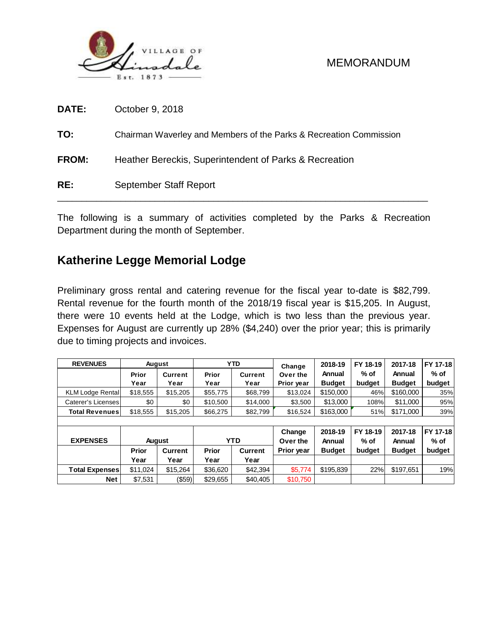

### MEMORANDUM

| DATE:        | October 9, 2018                                                    |
|--------------|--------------------------------------------------------------------|
| TO:          | Chairman Waverley and Members of the Parks & Recreation Commission |
| <b>FROM:</b> | Heather Bereckis, Superintendent of Parks & Recreation             |
| RE:          | September Staff Report                                             |

The following is a summary of activities completed by the Parks & Recreation Department during the month of September.

## **Katherine Legge Memorial Lodge**

Preliminary gross rental and catering revenue for the fiscal year to-date is \$82,799. Rental revenue for the fourth month of the 2018/19 fiscal year is \$15,205. In August, there were 10 events held at the Lodge, which is two less than the previous year. Expenses for August are currently up 28% (\$4,240) over the prior year; this is primarily due to timing projects and invoices.

| <b>REVENUES</b>         |          | August         |              | <b>YTD</b>     | Change     | 2018-19       | FY 18-19 | 2017-18       | FY 17-18<br>% of |
|-------------------------|----------|----------------|--------------|----------------|------------|---------------|----------|---------------|------------------|
|                         | Prior    | <b>Current</b> | Prior        | <b>Current</b> | Over the   | Annual        | % of     | Annual        |                  |
|                         | Year     | Year           | Year         | Year           | Prior year | <b>Budget</b> | budget   | <b>Budget</b> | budget           |
| <b>KLM Lodge Rental</b> | \$18,555 | \$15,205       | \$55,775     | \$68,799       | \$13,024   | \$150,000     | 46%      | \$160,000     | 35%              |
| Caterer's Licenses      | \$0      | \$0            | \$10,500     | \$14,000       | \$3,500    | \$13,000      | 108%     | \$11,000      | 95%              |
| <b>Total Revenues</b>   | \$18,555 | \$15,205       | \$66,275     | \$82,799       | \$16,524   | \$163,000     | 51%      | \$171,000     | 39%              |
|                         |          |                |              |                |            |               |          |               |                  |
|                         |          |                |              |                | Change     | 2018-19       | FY 18-19 | 2017-18       | FY 17-18         |
| <b>EXPENSES</b>         |          | <b>August</b>  |              | <b>YTD</b>     | Over the   | Annual        | % of     | Annual        | % of             |
|                         | Prior    | <b>Current</b> | <b>Prior</b> | <b>Current</b> | Prior year | <b>Budget</b> | budget   | <b>Budget</b> | budget           |
|                         | Year     | Year           | Year         | Year           |            |               |          |               |                  |
| <b>Total Expenses</b>   | \$11.024 | \$15,264       | \$36,620     | \$42,394       | \$5.774    | \$195.839     | 22%      | \$197,651     | 19%              |
| Net                     | \$7,531  | $(\$59)$       | \$29,655     | \$40,405       | \$10,750   |               |          |               |                  |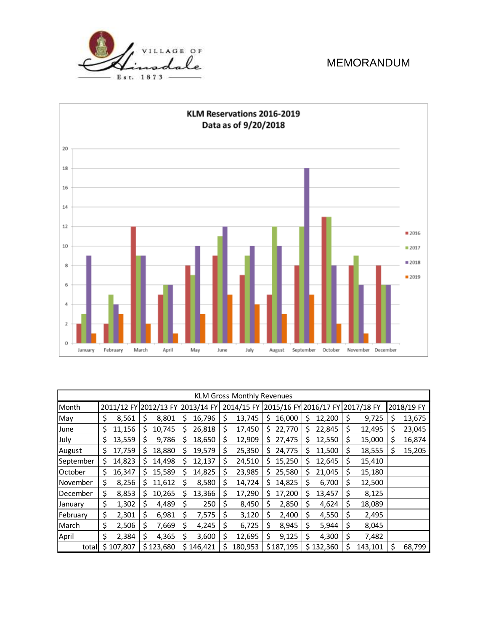

### MEMORANDUM



| <b>KLM Gross Monthly Revenues</b> |    |                                  |    |           |    |           |     |            |    |                                  |    |           |    |         |   |            |
|-----------------------------------|----|----------------------------------|----|-----------|----|-----------|-----|------------|----|----------------------------------|----|-----------|----|---------|---|------------|
| Month                             |    | 2011/12 FY 2012/13 FY 2013/14 FY |    |           |    |           |     | 2014/15 FY |    | 2015/16 FY 2016/17 FY 2017/18 FY |    |           |    |         |   | 2018/19 FY |
| May                               | \$ | 8,561                            | S  | 8,801     | S  | 16,796    | S   | 13,745     | \$ | 16,000                           | S  | 12,200    | S  | 9,725   | S | 13,675     |
| June                              | \$ | 11,156                           | \$ | 10,745    | \$ | 26,818    | S   | 17,450     | S  | 22,770                           | \$ | 22,845    | \$ | 12,495  | S | 23,045     |
| July                              | \$ | 13,559                           | \$ | 9,786     | \$ | 18,650    | \$  | 12,909     | S  | 27,475                           | S  | 12,550    | \$ | 15,000  | S | 16,874     |
| August                            | \$ | 17,759                           | \$ | 18,880    | \$ | 19,579    | Ş   | 25,350     | S  | 24,775                           | \$ | 11,500    | \$ | 18,555  | Ş | 15,205     |
| September                         | \$ | 14,823                           | Ś  | 14,498    | \$ | 12,137    | S   | 24,510     | S  | 15,250                           | \$ | 12,645    | \$ | 15,410  |   |            |
| October                           | \$ | 16,347                           | S  | 15,589    | S  | 14,825    | S   | 23,985     | S  | 25,580                           | \$ | 21,045    | \$ | 15,180  |   |            |
| November                          | \$ | 8,256                            | S  | 11,612    | S  | 8,580     | S   | 14,724     | S  | 14,825                           | \$ | 6,700     | \$ | 12,500  |   |            |
| December                          | \$ | 8,853                            | S  | 10,265    | S  | 13,366    | S   | 17,290     | S  | 17,200                           | \$ | 13,457    | \$ | 8,125   |   |            |
| January                           | \$ | 1,302                            | \$ | 4,489     | \$ | 250       | S   | 8,450      | \$ | 2,850                            | \$ | 4,624     | \$ | 18,089  |   |            |
| February                          | \$ | 2,301                            | \$ | 6,981     | \$ | 7,575     | \$. | 3,120      | \$ | 2,400                            | \$ | 4,550     | \$ | 2,495   |   |            |
| March                             | \$ | 2,506                            | \$ | 7,669     | \$ | 4,245     | S   | 6,725      | Ś  | 8,945                            | \$ | 5,944     | Ś  | 8,045   |   |            |
| April                             | \$ | 2,384                            | \$ | 4,365     | \$ | 3,600     | \$, | 12,695     | \$ | 9,125                            | \$ | 4,300     | \$ | 7,482   |   |            |
| total                             | Ś. | 107,807                          |    | \$123,680 |    | \$146,421 |     | 180,953    |    | \$187,195                        |    | \$132,360 | \$ | 143,101 |   | 68,799     |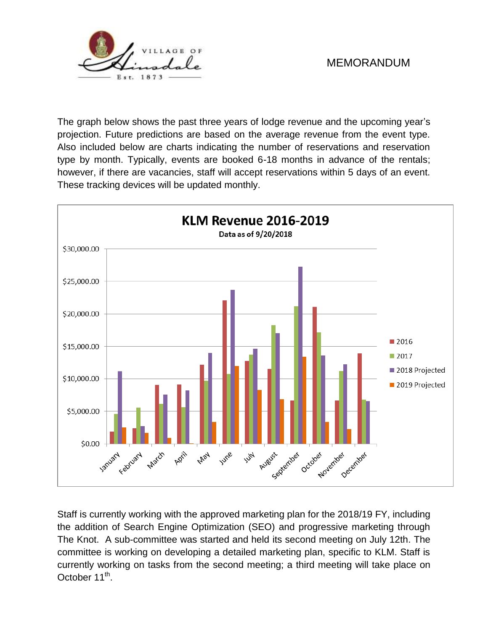

## MEMORANDUM

The graph below shows the past three years of lodge revenue and the upcoming year's projection. Future predictions are based on the average revenue from the event type. Also included below are charts indicating the number of reservations and reservation type by month. Typically, events are booked 6-18 months in advance of the rentals; however, if there are vacancies, staff will accept reservations within 5 days of an event. These tracking devices will be updated monthly.



Staff is currently working with the approved marketing plan for the 2018/19 FY, including the addition of Search Engine Optimization (SEO) and progressive marketing through The Knot. A sub-committee was started and held its second meeting on July 12th. The committee is working on developing a detailed marketing plan, specific to KLM. Staff is currently working on tasks from the second meeting; a third meeting will take place on October 11<sup>th</sup>.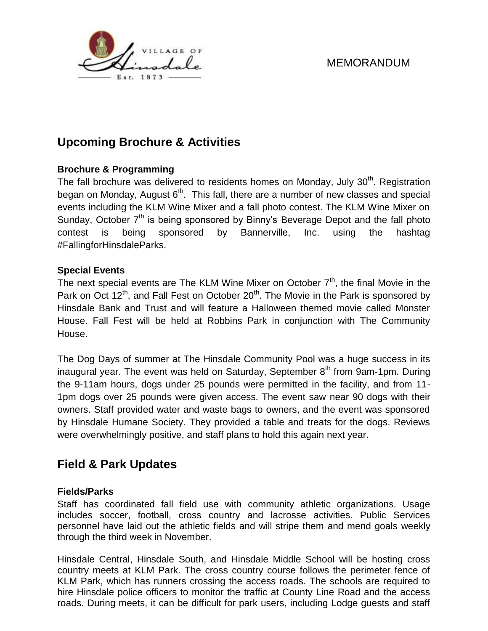



# **Upcoming Brochure & Activities**

#### **Brochure & Programming**

The fall brochure was delivered to residents homes on Monday, July  $30<sup>th</sup>$ . Registration began on Monday, August 6<sup>th</sup>. This fall, there are a number of new classes and special events including the KLM Wine Mixer and a fall photo contest. The KLM Wine Mixer on Sunday, October  $7<sup>th</sup>$  is being sponsored by Binny's Beverage Depot and the fall photo contest is being sponsored by Bannerville, Inc. using the hashtag #FallingforHinsdaleParks.

#### **Special Events**

The next special events are The KLM Wine Mixer on October  $7<sup>th</sup>$ , the final Movie in the Park on Oct  $12<sup>th</sup>$ , and Fall Fest on October 20<sup>th</sup>. The Movie in the Park is sponsored by Hinsdale Bank and Trust and will feature a Halloween themed movie called Monster House. Fall Fest will be held at Robbins Park in conjunction with The Community House.

The Dog Days of summer at The Hinsdale Community Pool was a huge success in its inaugural year. The event was held on Saturday, September 8<sup>th</sup> from 9am-1pm. During the 9-11am hours, dogs under 25 pounds were permitted in the facility, and from 11- 1pm dogs over 25 pounds were given access. The event saw near 90 dogs with their owners. Staff provided water and waste bags to owners, and the event was sponsored by Hinsdale Humane Society. They provided a table and treats for the dogs. Reviews were overwhelmingly positive, and staff plans to hold this again next year.

## **Field & Park Updates**

#### **Fields/Parks**

Staff has coordinated fall field use with community athletic organizations. Usage includes soccer, football, cross country and lacrosse activities. Public Services personnel have laid out the athletic fields and will stripe them and mend goals weekly through the third week in November.

Hinsdale Central, Hinsdale South, and Hinsdale Middle School will be hosting cross country meets at KLM Park. The cross country course follows the perimeter fence of KLM Park, which has runners crossing the access roads. The schools are required to hire Hinsdale police officers to monitor the traffic at County Line Road and the access roads. During meets, it can be difficult for park users, including Lodge guests and staff